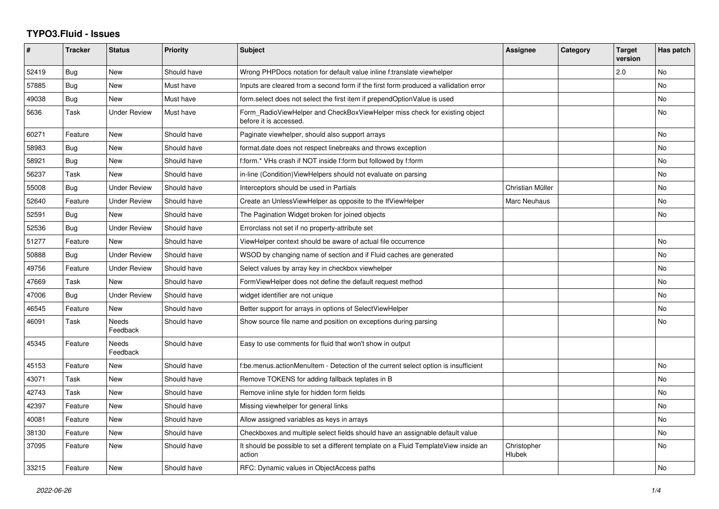## **TYPO3.Fluid - Issues**

| #     | <b>Tracker</b> | <b>Status</b>            | Priority    | Subject                                                                                              | Assignee              | Category | <b>Target</b><br>version | Has patch |
|-------|----------------|--------------------------|-------------|------------------------------------------------------------------------------------------------------|-----------------------|----------|--------------------------|-----------|
| 52419 | Bug            | New                      | Should have | Wrong PHPDocs notation for default value inline f:translate viewhelper                               |                       |          | 2.0                      | No        |
| 57885 | Bug            | New                      | Must have   | Inputs are cleared from a second form if the first form produced a vallidation error                 |                       |          |                          | No.       |
| 49038 | Bug            | New                      | Must have   | form select does not select the first item if prependOptionValue is used                             |                       |          |                          | No        |
| 5636  | Task           | <b>Under Review</b>      | Must have   | Form RadioViewHelper and CheckBoxViewHelper miss check for existing object<br>before it is accessed. |                       |          |                          | No        |
| 60271 | Feature        | <b>New</b>               | Should have | Paginate viewhelper, should also support arrays                                                      |                       |          |                          | No        |
| 58983 | Bug            | <b>New</b>               | Should have | format.date does not respect linebreaks and throws exception                                         |                       |          |                          | <b>No</b> |
| 58921 | <b>Bug</b>     | <b>New</b>               | Should have | f:form.* VHs crash if NOT inside f:form but followed by f:form                                       |                       |          |                          | No        |
| 56237 | Task           | New                      | Should have | in-line (Condition) View Helpers should not evaluate on parsing                                      |                       |          |                          | No        |
| 55008 | Bug            | <b>Under Review</b>      | Should have | Interceptors should be used in Partials                                                              | Christian Müller      |          |                          | No        |
| 52640 | Feature        | <b>Under Review</b>      | Should have | Create an UnlessViewHelper as opposite to the IfViewHelper                                           | Marc Neuhaus          |          |                          | No        |
| 52591 | <b>Bug</b>     | <b>New</b>               | Should have | The Pagination Widget broken for joined objects                                                      |                       |          |                          | No        |
| 52536 | Bug            | <b>Under Review</b>      | Should have | Errorclass not set if no property-attribute set                                                      |                       |          |                          |           |
| 51277 | Feature        | New                      | Should have | ViewHelper context should be aware of actual file occurrence                                         |                       |          |                          | No        |
| 50888 | Bug            | <b>Under Review</b>      | Should have | WSOD by changing name of section and if Fluid caches are generated                                   |                       |          |                          | No        |
| 49756 | Feature        | <b>Under Review</b>      | Should have | Select values by array key in checkbox viewhelper                                                    |                       |          |                          | No        |
| 47669 | Task           | <b>New</b>               | Should have | FormViewHelper does not define the default request method                                            |                       |          |                          | No        |
| 47006 | <b>Bug</b>     | <b>Under Review</b>      | Should have | widget identifier are not unique                                                                     |                       |          |                          | No        |
| 46545 | Feature        | <b>New</b>               | Should have | Better support for arrays in options of SelectViewHelper                                             |                       |          |                          | No        |
| 46091 | Task           | Needs<br>Feedback        | Should have | Show source file name and position on exceptions during parsing                                      |                       |          |                          | No        |
| 45345 | Feature        | <b>Needs</b><br>Feedback | Should have | Easy to use comments for fluid that won't show in output                                             |                       |          |                          |           |
| 45153 | Feature        | New                      | Should have | f:be.menus.actionMenuItem - Detection of the current select option is insufficient                   |                       |          |                          | No        |
| 43071 | Task           | New                      | Should have | Remove TOKENS for adding fallback teplates in B                                                      |                       |          |                          | No        |
| 42743 | Task           | New                      | Should have | Remove inline style for hidden form fields                                                           |                       |          |                          | No.       |
| 42397 | Feature        | New                      | Should have | Missing viewhelper for general links                                                                 |                       |          |                          | No        |
| 40081 | Feature        | New                      | Should have | Allow assigned variables as keys in arrays                                                           |                       |          |                          | No        |
| 38130 | Feature        | <b>New</b>               | Should have | Checkboxes and multiple select fields should have an assignable default value                        |                       |          |                          | No        |
| 37095 | Feature        | New                      | Should have | It should be possible to set a different template on a Fluid TemplateView inside an<br>action        | Christopher<br>Hlubek |          |                          | No.       |
| 33215 | Feature        | New                      | Should have | RFC: Dynamic values in ObjectAccess paths                                                            |                       |          |                          | No        |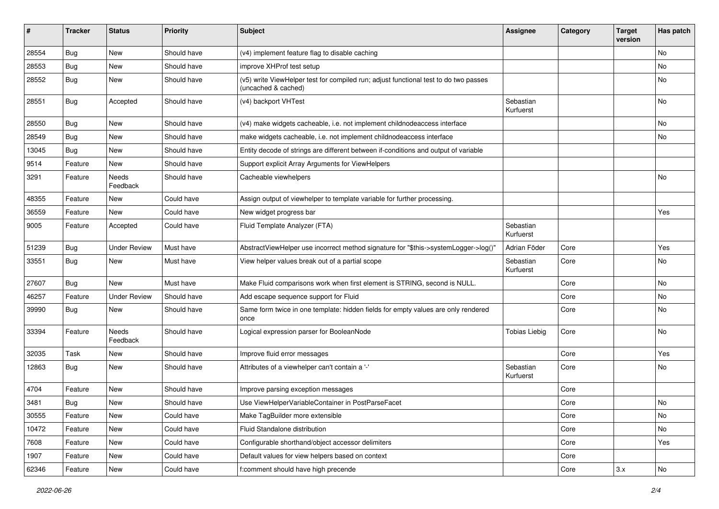| #     | <b>Tracker</b> | <b>Status</b>       | <b>Priority</b> | <b>Subject</b>                                                                                              | <b>Assignee</b>        | Category | <b>Target</b><br>version | Has patch |
|-------|----------------|---------------------|-----------------|-------------------------------------------------------------------------------------------------------------|------------------------|----------|--------------------------|-----------|
| 28554 | Bug            | New                 | Should have     | (v4) implement feature flag to disable caching                                                              |                        |          |                          | <b>No</b> |
| 28553 | Bug            | New                 | Should have     | improve XHProf test setup                                                                                   |                        |          |                          | No        |
| 28552 | Bug            | New                 | Should have     | (v5) write ViewHelper test for compiled run; adjust functional test to do two passes<br>(uncached & cached) |                        |          |                          | No        |
| 28551 | Bug            | Accepted            | Should have     | (v4) backport VHTest                                                                                        | Sebastian<br>Kurfuerst |          |                          | No        |
| 28550 | Bug            | New                 | Should have     | (v4) make widgets cacheable, i.e. not implement childnodeaccess interface                                   |                        |          |                          | No        |
| 28549 | Bug            | New                 | Should have     | make widgets cacheable, i.e. not implement childnodeaccess interface                                        |                        |          |                          | No        |
| 13045 | Bug            | New                 | Should have     | Entity decode of strings are different between if-conditions and output of variable                         |                        |          |                          |           |
| 9514  | Feature        | New                 | Should have     | Support explicit Array Arguments for ViewHelpers                                                            |                        |          |                          |           |
| 3291  | Feature        | Needs<br>Feedback   | Should have     | Cacheable viewhelpers                                                                                       |                        |          |                          | No        |
| 48355 | Feature        | New                 | Could have      | Assign output of viewhelper to template variable for further processing.                                    |                        |          |                          |           |
| 36559 | Feature        | <b>New</b>          | Could have      | New widget progress bar                                                                                     |                        |          |                          | Yes       |
| 9005  | Feature        | Accepted            | Could have      | Fluid Template Analyzer (FTA)                                                                               | Sebastian<br>Kurfuerst |          |                          |           |
| 51239 | Bug            | <b>Under Review</b> | Must have       | AbstractViewHelper use incorrect method signature for "\$this->systemLogger->log()"                         | Adrian Föder           | Core     |                          | Yes       |
| 33551 | Bug            | New                 | Must have       | View helper values break out of a partial scope                                                             | Sebastian<br>Kurfuerst | Core     |                          | No        |
| 27607 | Bug            | <b>New</b>          | Must have       | Make Fluid comparisons work when first element is STRING, second is NULL.                                   |                        | Core     |                          | <b>No</b> |
| 46257 | Feature        | <b>Under Review</b> | Should have     | Add escape sequence support for Fluid                                                                       |                        | Core     |                          | No        |
| 39990 | Bug            | New                 | Should have     | Same form twice in one template: hidden fields for empty values are only rendered<br>once                   |                        | Core     |                          | No        |
| 33394 | Feature        | Needs<br>Feedback   | Should have     | Logical expression parser for BooleanNode                                                                   | <b>Tobias Liebig</b>   | Core     |                          | <b>No</b> |
| 32035 | Task           | New                 | Should have     | Improve fluid error messages                                                                                |                        | Core     |                          | Yes       |
| 12863 | Bug            | New                 | Should have     | Attributes of a viewhelper can't contain a '-'                                                              | Sebastian<br>Kurfuerst | Core     |                          | No        |
| 4704  | Feature        | New                 | Should have     | Improve parsing exception messages                                                                          |                        | Core     |                          |           |
| 3481  | Bug            | New                 | Should have     | Use ViewHelperVariableContainer in PostParseFacet                                                           |                        | Core     |                          | No        |
| 30555 | Feature        | New                 | Could have      | Make TagBuilder more extensible                                                                             |                        | Core     |                          | No        |
| 10472 | Feature        | New                 | Could have      | Fluid Standalone distribution                                                                               |                        | Core     |                          | No        |
| 7608  | Feature        | New                 | Could have      | Configurable shorthand/object accessor delimiters                                                           |                        | Core     |                          | Yes       |
| 1907  | Feature        | New                 | Could have      | Default values for view helpers based on context                                                            |                        | Core     |                          |           |
| 62346 | Feature        | New                 | Could have      | f:comment should have high precende                                                                         |                        | Core     | 3.x                      | No        |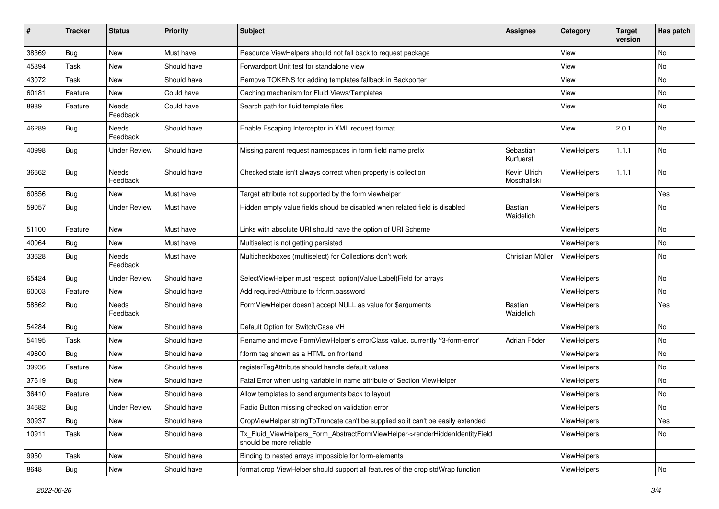| ∦     | <b>Tracker</b> | <b>Status</b>       | <b>Priority</b> | <b>Subject</b>                                                                                         | <b>Assignee</b>             | Category           | <b>Target</b><br>version | Has patch |
|-------|----------------|---------------------|-----------------|--------------------------------------------------------------------------------------------------------|-----------------------------|--------------------|--------------------------|-----------|
| 38369 | Bug            | New                 | Must have       | Resource ViewHelpers should not fall back to request package                                           |                             | View               |                          | No        |
| 45394 | Task           | New                 | Should have     | Forwardport Unit test for standalone view                                                              |                             | View               |                          | No        |
| 43072 | Task           | New                 | Should have     | Remove TOKENS for adding templates fallback in Backporter                                              |                             | View               |                          | No        |
| 60181 | Feature        | New                 | Could have      | Caching mechanism for Fluid Views/Templates                                                            |                             | View               |                          | No        |
| 8989  | Feature        | Needs<br>Feedback   | Could have      | Search path for fluid template files                                                                   |                             | View               |                          | No        |
| 46289 | Bug            | Needs<br>Feedback   | Should have     | Enable Escaping Interceptor in XML request format                                                      |                             | View               | 2.0.1                    | No        |
| 40998 | Bug            | Under Review        | Should have     | Missing parent request namespaces in form field name prefix                                            | Sebastian<br>Kurfuerst      | ViewHelpers        | 1.1.1                    | No        |
| 36662 | Bug            | Needs<br>Feedback   | Should have     | Checked state isn't always correct when property is collection                                         | Kevin Ulrich<br>Moschallski | ViewHelpers        | 1.1.1                    | No        |
| 60856 | Bug            | New                 | Must have       | Target attribute not supported by the form viewhelper                                                  |                             | ViewHelpers        |                          | Yes       |
| 59057 | Bug            | <b>Under Review</b> | Must have       | Hidden empty value fields shoud be disabled when related field is disabled                             | Bastian<br>Waidelich        | ViewHelpers        |                          | No        |
| 51100 | Feature        | New                 | Must have       | Links with absolute URI should have the option of URI Scheme                                           |                             | ViewHelpers        |                          | No        |
| 40064 | Bug            | New                 | Must have       | Multiselect is not getting persisted                                                                   |                             | ViewHelpers        |                          | No        |
| 33628 | Bug            | Needs<br>Feedback   | Must have       | Multicheckboxes (multiselect) for Collections don't work                                               | Christian Müller            | ViewHelpers        |                          | No        |
| 65424 | Bug            | <b>Under Review</b> | Should have     | SelectViewHelper must respect option(Value Label)Field for arrays                                      |                             | ViewHelpers        |                          | No        |
| 60003 | Feature        | New                 | Should have     | Add required-Attribute to f:form.password                                                              |                             | ViewHelpers        |                          | No        |
| 58862 | Bug            | Needs<br>Feedback   | Should have     | FormViewHelper doesn't accept NULL as value for \$arguments                                            | Bastian<br>Waidelich        | ViewHelpers        |                          | Yes       |
| 54284 | Bug            | New                 | Should have     | Default Option for Switch/Case VH                                                                      |                             | ViewHelpers        |                          | No        |
| 54195 | Task           | New                 | Should have     | Rename and move FormViewHelper's errorClass value, currently 'f3-form-error'                           | Adrian Föder                | ViewHelpers        |                          | No        |
| 49600 | Bug            | New                 | Should have     | f:form tag shown as a HTML on frontend                                                                 |                             | ViewHelpers        |                          | No        |
| 39936 | Feature        | New                 | Should have     | registerTagAttribute should handle default values                                                      |                             | <b>ViewHelpers</b> |                          | No        |
| 37619 | <b>Bug</b>     | New                 | Should have     | Fatal Error when using variable in name attribute of Section ViewHelper                                |                             | ViewHelpers        |                          | No        |
| 36410 | Feature        | New                 | Should have     | Allow templates to send arguments back to layout                                                       |                             | <b>ViewHelpers</b> |                          | No        |
| 34682 | <b>Bug</b>     | <b>Under Review</b> | Should have     | Radio Button missing checked on validation error                                                       |                             | ViewHelpers        |                          | No        |
| 30937 | <b>Bug</b>     | New                 | Should have     | CropViewHelper stringToTruncate can't be supplied so it can't be easily extended                       |                             | ViewHelpers        |                          | Yes       |
| 10911 | Task           | New                 | Should have     | Tx_Fluid_ViewHelpers_Form_AbstractFormViewHelper->renderHiddenIdentityField<br>should be more reliable |                             | ViewHelpers        |                          | No        |
| 9950  | Task           | New                 | Should have     | Binding to nested arrays impossible for form-elements                                                  |                             | ViewHelpers        |                          |           |
| 8648  | Bug            | New                 | Should have     | format.crop ViewHelper should support all features of the crop stdWrap function                        |                             | ViewHelpers        |                          | No        |